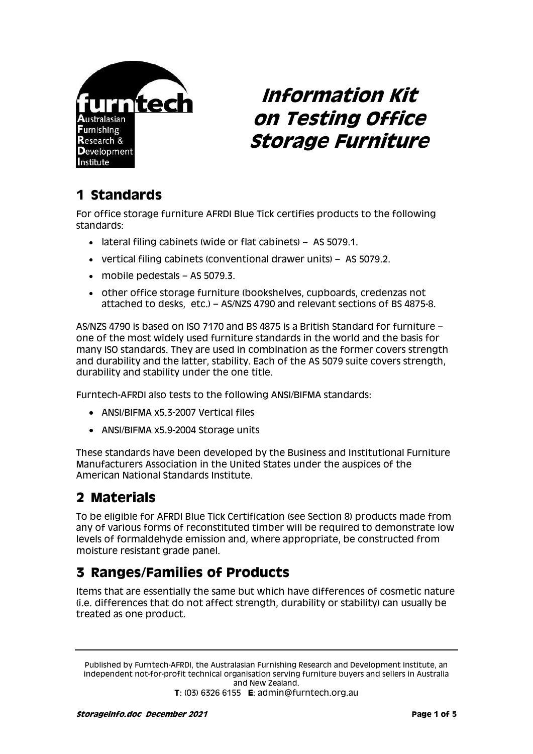

# **Information Kit on Testing Office Storage Furniture**

# **1 Standards**

For office storage furniture AFRDI Blue Tick certifies products to the following standards:

- lateral filing cabinets (wide or flat cabinets) AS 5079.1.
- vertical filing cabinets (conventional drawer units) AS 5079.2.
- mobile pedestals AS 5079.3.
- other office storage furniture (bookshelves, cupboards, credenzas not attached to desks, etc.) – AS/NZS 4790 and relevant sections of BS 4875-8.

AS/NZS 4790 is based on ISO 7170 and BS 4875 is a British Standard for furniture – one of the most widely used furniture standards in the world and the basis for many ISO standards. They are used in combination as the former covers strength and durability and the latter, stability. Each of the AS 5079 suite covers strength, durability and stability under the one title.

Furntech-AFRDI also tests to the following ANSI/BIFMA standards:

- ANSI/BIFMA x5.3-2007 Vertical files
- ANSI/BIFMA x5.9-2004 Storage units

These standards have been developed by the Business and Institutional Furniture Manufacturers Association in the United States under the auspices of the American National Standards Institute.

#### **2 Materials**

To be eligible for AFRDI Blue Tick Certification (see Section 8) products made from any of various forms of reconstituted timber will be required to demonstrate low levels of formaldehyde emission and, where appropriate, be constructed from moisture resistant grade panel.

#### **3 Ranges/Families of Products**

Items that are essentially the same but which have differences of cosmetic nature (i.e. differences that do not affect strength, durability or stability) can usually be treated as one product.

Published by Furntech-AFRDI, the Australasian Furnishing Research and Development Institute, an independent not-for-profit technical organisation serving furniture buyers and sellers in Australia and New Zealand. **T**: (03) 6326 6155 **E**: admin@furntech.org.au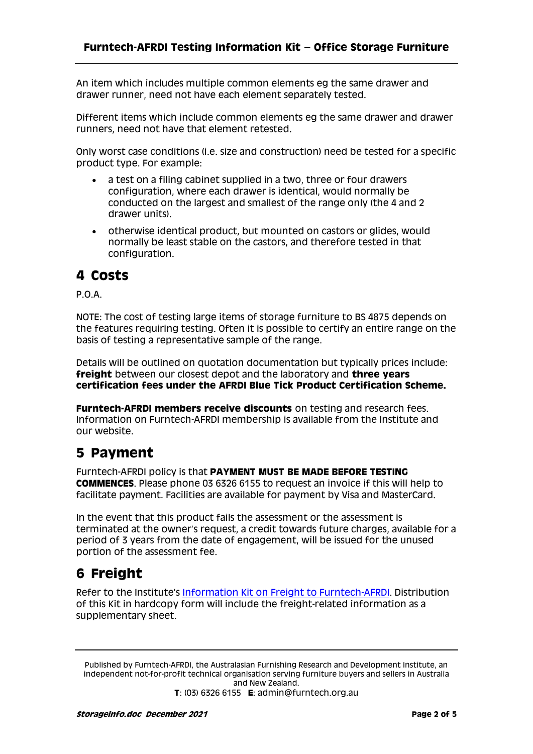An item which includes multiple common elements eg the same drawer and drawer runner, need not have each element separately tested.

Different items which include common elements eg the same drawer and drawer runners, need not have that element retested.

Only worst case conditions (i.e. size and construction) need be tested for a specific product type. For example:

- a test on a filing cabinet supplied in a two, three or four drawers configuration, where each drawer is identical, would normally be conducted on the largest and smallest of the range only (the 4 and 2 drawer units).
- otherwise identical product, but mounted on castors or glides, would normally be least stable on the castors, and therefore tested in that configuration.

#### **4 Costs**

P.O.A.

NOTE: The cost of testing large items of storage furniture to BS 4875 depends on the features requiring testing. Often it is possible to certify an entire range on the basis of testing a representative sample of the range.

Details will be outlined on quotation documentation but typically prices include: **freight** between our closest depot and the laboratory and **three years certification fees under the AFRDI Blue Tick Product Certification Scheme.**

**Furntech-AFRDI members receive discounts** on testing and research fees. Information on Furntech-AFRDI membership is available from the Institute and our website.

#### **5 Payment**

Furntech-AFRDI policy is that **PAYMENT MUST BE MADE BEFORE TESTING COMMENCES**. Please phone 03 6326 6155 to request an invoice if this will help to facilitate payment. Facilities are available for payment by Visa and MasterCard.

In the event that this product fails the assessment or the assessment is terminated at the owner's request, a credit towards future charges, available for a period of 3 years from the date of engagement, will be issued for the unused portion of the assessment fee.

### **6 Freight**

Refer to the Institute's [Information Kit on Freight to Furntech-AFRDI.](http://furntech.org.au/pdf/index.php?dir=Corporate/&file=FreightInfo.pdf) Distribution of this Kit in hardcopy form will include the freight-related information as a supplementary sheet.

Published by Furntech-AFRDI, the Australasian Furnishing Research and Development Institute, an independent not-for-profit technical organisation serving furniture buyers and sellers in Australia and New Zealand. **T**: (03) 6326 6155 **E**: admin@furntech.org.au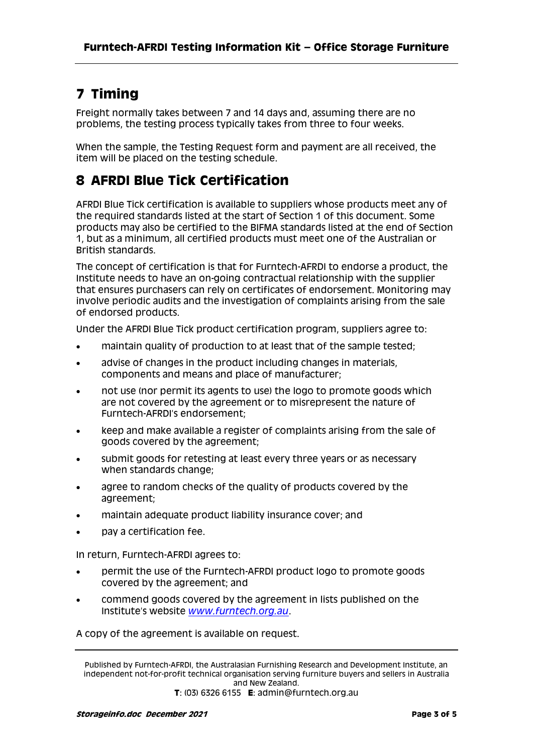# **7 Timing**

Freight normally takes between 7 and 14 days and, assuming there are no problems, the testing process typically takes from three to four weeks.

When the sample, the Testing Request form and payment are all received, the item will be placed on the testing schedule.

# **8 AFRDI Blue Tick Certification**

AFRDI Blue Tick certification is available to suppliers whose products meet any of the required standards listed at the start of Section 1 of this document. Some products may also be certified to the BIFMA standards listed at the end of Section 1, but as a minimum, all certified products must meet one of the Australian or British standards.

The concept of certification is that for Furntech-AFRDI to endorse a product, the Institute needs to have an on-going contractual relationship with the supplier that ensures purchasers can rely on certificates of endorsement. Monitoring may involve periodic audits and the investigation of complaints arising from the sale of endorsed products.

Under the AFRDI Blue Tick product certification program, suppliers agree to:

- maintain quality of production to at least that of the sample tested;
- advise of changes in the product including changes in materials, components and means and place of manufacturer;
- not use (nor permit its agents to use) the logo to promote goods which are not covered by the agreement or to misrepresent the nature of Furntech-AFRDI's endorsement;
- keep and make available a register of complaints arising from the sale of goods covered by the agreement;
- submit goods for retesting at least every three years or as necessary when standards change;
- agree to random checks of the quality of products covered by the agreement;
- maintain adequate product liability insurance cover; and
- pay a certification fee.

In return, Furntech-AFRDI agrees to:

- permit the use of the Furntech-AFRDI product logo to promote goods covered by the agreement; and
- commend goods covered by the agreement in lists published on the Institute's website *[www.furntech.org.au](http://www.furntech.org.au/)*.

A copy of the agreement is available on request.

Published by Furntech-AFRDI, the Australasian Furnishing Research and Development Institute, an independent not-for-profit technical organisation serving furniture buyers and sellers in Australia and New Zealand. **T**: (03) 6326 6155 **E**: admin@furntech.org.au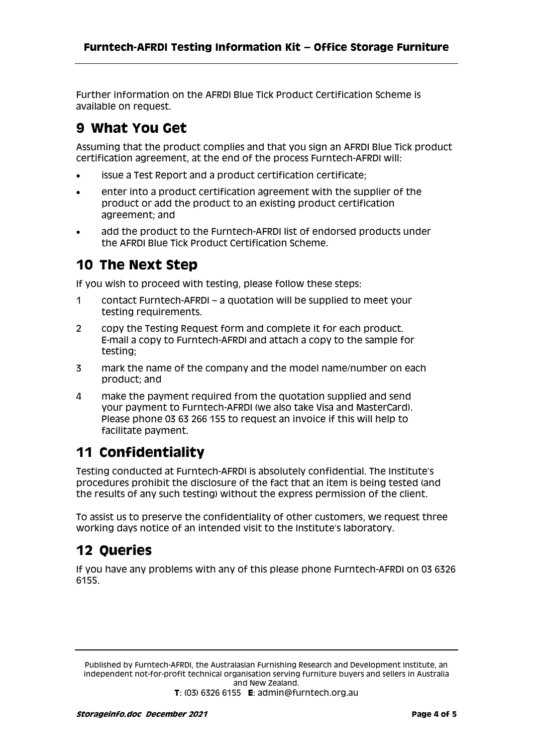Further information on the AFRDI Blue Tick Product Certification Scheme is available on request.

### **9 What You Get**

Assuming that the product complies and that you sign an AFRDI Blue Tick product certification agreement, at the end of the process Furntech-AFRDI will:

- issue a Test Report and a product certification certificate;
- enter into a product certification agreement with the supplier of the product or add the product to an existing product certification agreement; and
- add the product to the Furntech-AFRDI list of endorsed products under the AFRDI Blue Tick Product Certification Scheme.

#### **10 The Next Step**

If you wish to proceed with testing, please follow these steps:

- 1 contact Furntech-AFRDI a quotation will be supplied to meet your testing requirements.
- 2 copy the Testing Request form and complete it for each product. E-mail a copy to Furntech-AFRDI and attach a copy to the sample for testing;
- 3 mark the name of the company and the model name/number on each product; and
- 4 make the payment required from the quotation supplied and send your payment to Furntech-AFRDI (we also take Visa and MasterCard). Please phone 03 63 266 155 to request an invoice if this will help to facilitate payment.

# **11 Confidentiality**

Testing conducted at Furntech-AFRDI is absolutely confidential. The Institute's procedures prohibit the disclosure of the fact that an item is being tested (and the results of any such testing) without the express permission of the client.

To assist us to preserve the confidentiality of other customers, we request three working days notice of an intended visit to the Institute's laboratory.

### **12 Queries**

If you have any problems with any of this please phone Furntech-AFRDI on 03 6326 6155.

Published by Furntech-AFRDI, the Australasian Furnishing Research and Development Institute, an independent not-for-profit technical organisation serving furniture buyers and sellers in Australia and New Zealand. **T**: (03) 6326 6155 **E**: admin@furntech.org.au